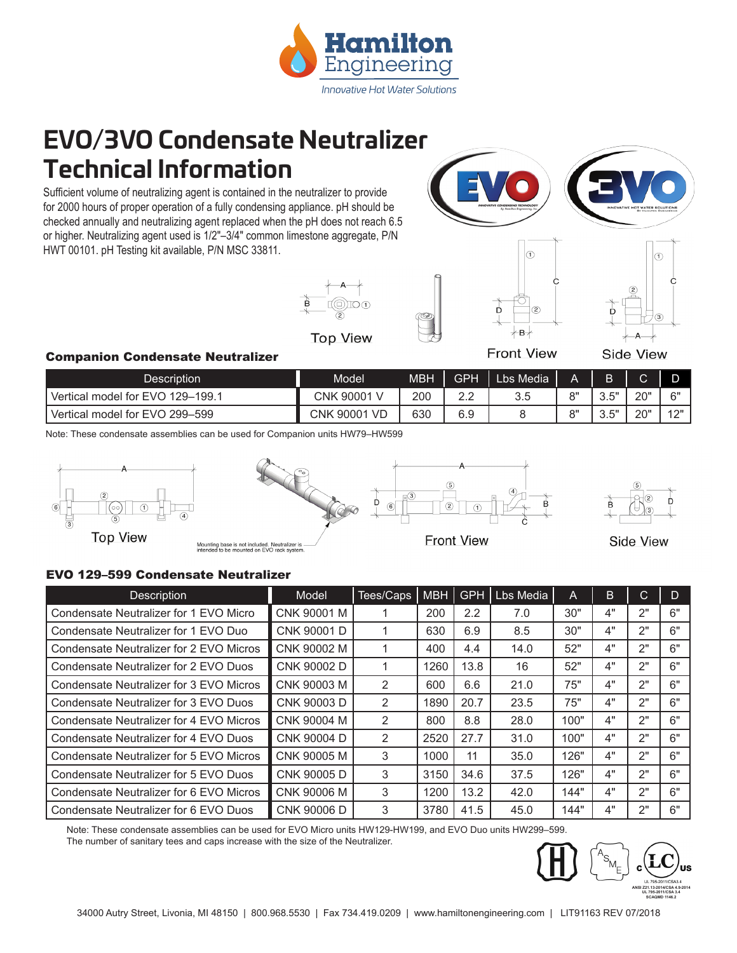

## **EVO/3VO Condensate Neutralizer Technical Information**

Sufficient volume of neutralizing agent is contained in the neutralizer to provide for 2000 hours of proper operation of a fully condensing appliance. pH should be checked annually and neutralizing agent replaced when the pH does not reach 6.5 or higher. Neutralizing agent used is 1/2"–3/4" common limestone aggregate, P/N HWT 00101. pH Testing kit available, P/N MSC 33811.









∸B⊰ **Front View** 

 $\odot$ 

 $(2)$ 

**Side View** 

### Companion Condensate Neutralizer

| Description                      | Model               | MBH | GPH       | Lbs Media <sup>1</sup> | А          |             |            |          |
|----------------------------------|---------------------|-----|-----------|------------------------|------------|-------------|------------|----------|
| Vertical model for EVO 129-199.1 | 90001 V<br>CNK      | 200 | ററ<br>ے.۔ | ა.ხ                    | $^{\circ}$ | - 尽"<br>v.v | יימפ       | ና"       |
| Vertical model for EVO 299-599   | 90001<br>-VD<br>CNK | 630 | 6.9       |                        | $^{\circ}$ | Γ"<br>ن. ب  | יימפ<br>∠∪ | 40"<br>╺ |

Note: These condensate assemblies can be used for Companion units HW79–HW599







**Front View** 

**Side View** 

### EVO 129–599 Condensate Neutralizer

| Description                             | Model       | Tees/Caps | <b>MBH</b> | <b>GPH</b>       | Lbs Media | A    | B. | C  |    |
|-----------------------------------------|-------------|-----------|------------|------------------|-----------|------|----|----|----|
| Condensate Neutralizer for 1 EVO Micro  | CNK 90001 M |           | 200        | $2.2\phantom{0}$ | 7.0       | 30"  | 4" | 2" | 6" |
| Condensate Neutralizer for 1 EVO Duo    | CNK 90001 D |           | 630        | 6.9              | 8.5       | 30"  | 4" | 2" | 6" |
| Condensate Neutralizer for 2 EVO Micros | CNK 90002 M |           | 400        | 4.4              | 14.0      | 52"  | 4" | 2" | 6" |
| Condensate Neutralizer for 2 EVO Duos   | CNK 90002 D |           | 1260       | 13.8             | 16        | 52"  | 4" | 2" | 6" |
| Condensate Neutralizer for 3 EVO Micros | CNK 90003 M | 2         | 600        | 6.6              | 21.0      | 75"  | 4" | 2" | 6" |
| Condensate Neutralizer for 3 EVO Duos   | CNK 90003 D | 2         | 1890       | 20.7             | 23.5      | 75"  | 4" | 2" | 6" |
| Condensate Neutralizer for 4 EVO Micros | CNK 90004 M | 2         | 800        | 8.8              | 28.0      | 100" | 4" | 2" | 6" |
| Condensate Neutralizer for 4 EVO Duos   | CNK 90004 D | 2         | 2520       | 27.7             | 31.0      | 100" | 4" | 2" | 6" |
| Condensate Neutralizer for 5 EVO Micros | CNK 90005 M | 3         | 1000       | 11               | 35.0      | 126" | 4" | 2" | ճ" |
| Condensate Neutralizer for 5 EVO Duos   | CNK 90005 D | 3         | 3150       | 34.6             | 37.5      | 126" | 4" | 2" | 6" |
| Condensate Neutralizer for 6 EVO Micros | CNK 90006 M | 3         | 1200       | 13.2             | 42.0      | 144" | 4" | 2" | 6" |
| Condensate Neutralizer for 6 EVO Duos   | CNK 90006 D | 3         | 3780       | 41.5             | 45.0      | 144" | 4" | 2" | 6" |

Note: These condensate assemblies can be used for EVO Micro units HW129-HW199, and EVO Duo units HW299–599. The number of sanitary tees and caps increase with the size of the Neutralizer.